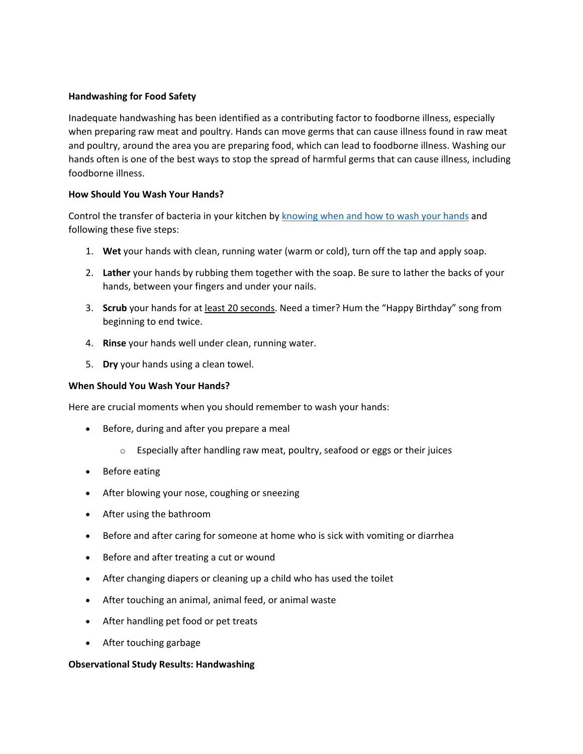## **Handwashing for Food Safety**

Inadequate handwashing has been identified as a contributing factor to foodborne illness, especially when preparing raw meat and poultry. Hands can move germs that can cause illness found in raw meat and poultry, around the area you are preparing food, which can lead to foodborne illness. Washing our hands often is one of the best ways to stop the spread of harmful germs that can cause illness, including foodborne illness.

## **How Should You Wash Your Hands?**

Control the transfer of bacteria in your kitchen by [knowing when and how to wash your hands](https://www.cdc.gov/handwashing/when-how-handwashing.html) and following these five steps:

- 1. **Wet** your hands with clean, running water (warm or cold), turn off the tap and apply soap.
- 2. **Lather** your hands by rubbing them together with the soap. Be sure to lather the backs of your hands, between your fingers and under your nails.
- 3. **Scrub** your hands for at least 20 seconds. Need a timer? Hum the "Happy Birthday" song from beginning to end twice.
- 4. **Rinse** your hands well under clean, running water.
- 5. **Dry** your hands using a clean towel.

## **When Should You Wash Your Hands?**

Here are crucial moments when you should remember to wash your hands:

- Before, during and after you prepare a meal
	- o Especially after handling raw meat, poultry, seafood or eggs or their juices
- Before eating
- After blowing your nose, coughing or sneezing
- After using the bathroom
- Before and after caring for someone at home who is sick with vomiting or diarrhea
- Before and after treating a cut or wound
- After changing diapers or cleaning up a child who has used the toilet
- After touching an animal, animal feed, or animal waste
- After handling pet food or pet treats
- After touching garbage

## **Observational Study Results: Handwashing**